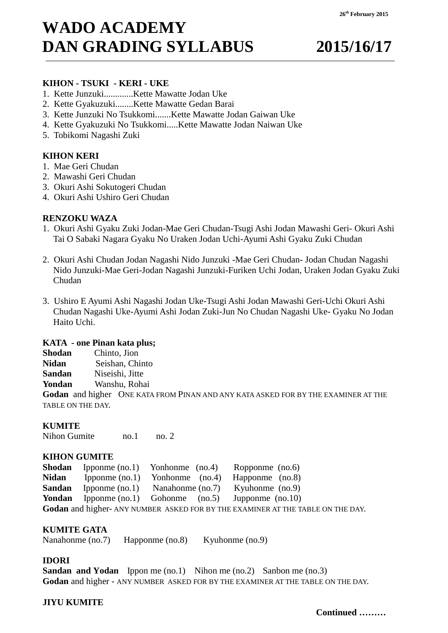# **WADO ACADEMY DAN GRADING SYLLABUS 2015/16/17**

#### **KIHON - TSUKI - KERI - UKE**

- 1. Kette Junzuki.............Kette Mawatte Jodan Uke
- 2. Kette Gyakuzuki........Kette Mawatte Gedan Barai
- 3. Kette Junzuki No Tsukkomi.......Kette Mawatte Jodan Gaiwan Uke
- 4. Kette Gyakuzuki No Tsukkomi.....Kette Mawatte Jodan Naiwan Uke
- 5. Tobikomi Nagashi Zuki

# **KIHON KERI**

- 1. Mae Geri Chudan
- 2. Mawashi Geri Chudan
- 3. Okuri Ashi Sokutogeri Chudan
- 4. Okuri Ashi Ushiro Geri Chudan

# **RENZOKU WAZA**

- 1. Okuri Ashi Gyaku Zuki Jodan-Mae Geri Chudan-Tsugi Ashi Jodan Mawashi Geri- Okuri Ashi Tai O Sabaki Nagara Gyaku No Uraken Jodan Uchi-Ayumi Ashi Gyaku Zuki Chudan
- 2. Okuri Ashi Chudan Jodan Nagashi Nido Junzuki -Mae Geri Chudan- Jodan Chudan Nagashi Nido Junzuki-Mae Geri-Jodan Nagashi Junzuki-Furiken Uchi Jodan, Uraken Jodan Gyaku Zuki Chudan
- 3. Ushiro E Ayumi Ashi Nagashi Jodan Uke-Tsugi Ashi Jodan Mawashi Geri-Uchi Okuri Ashi Chudan Nagashi Uke-Ayumi Ashi Jodan Zuki-Jun No Chudan Nagashi Uke- Gyaku No Jodan Haito Uchi.

#### **KATA - one Pinan kata plus;**

| Shodan            | Chinto, Jion                                                                       |  |  |  |
|-------------------|------------------------------------------------------------------------------------|--|--|--|
| Nidan             | Seishan, Chinto                                                                    |  |  |  |
| Sandan            | Niseishi, Jitte                                                                    |  |  |  |
| Yondan            | Wanshu, Rohai                                                                      |  |  |  |
|                   | Godan and higher ONE KATA FROM PINAN AND ANY KATA ASKED FOR BY THE EXAMINER AT THE |  |  |  |
| TABLE ON THE DAY. |                                                                                    |  |  |  |
|                   |                                                                                    |  |  |  |

# **KUMITE**

Nihon Gumite no.1 no. 2

#### **KIHON GUMITE**

|                                                                           |  | <b>Shodan</b> Ipponme $(no.1)$ Yonhonme $(no.4)$ Ropponme $(no.6)$ |  |  |
|---------------------------------------------------------------------------|--|--------------------------------------------------------------------|--|--|
| <b>Nidan</b>                                                              |  | Ipponme $(no.1)$ Yonhonme $(no.4)$ Happonme $(no.8)$               |  |  |
|                                                                           |  | <b>Sandan</b> Ipponme (no.1) Nanahonme (no.7) Kyuhonme (no.9)      |  |  |
|                                                                           |  | <b>Yondan</b> Ipponme $(no.1)$ Gohonme $(no.5)$ Jupponme $(no.10)$ |  |  |
| Codon and higher ANYAUDADED ACKED FOR DV THE EVAMMED AT THE TADI E ON THE |  |                                                                    |  |  |

#### **Godan** and higher- ANY NUMBER ASKED FOR BY THE EXAMINER AT THE TABLE ON THE DAY.

#### **KUMITE GATA**

Nanahonme (no.7) Happonme (no.8) Kyuhonme (no.9)

#### **IDORI**

**Sandan and Yodan** Ippon me (no.1) Nihon me (no.2) Sanbon me (no.3) **Godan** and higher - ANY NUMBER ASKED FOR BY THE EXAMINER AT THE TABLE ON THE DAY.

#### **JIYU KUMITE**